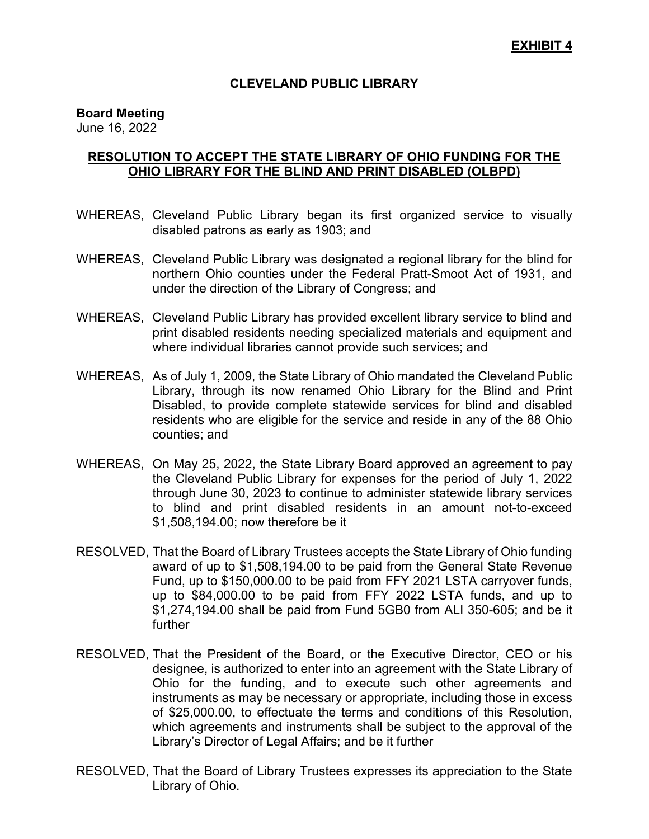### **CLEVELAND PUBLIC LIBRARY**

### **Board Meeting**

June 16, 2022

## **RESOLUTION TO ACCEPT THE STATE LIBRARY OF OHIO FUNDING FOR THE OHIO LIBRARY FOR THE BLIND AND PRINT DISABLED (OLBPD)**

- WHEREAS, Cleveland Public Library began its first organized service to visually disabled patrons as early as 1903; and
- WHEREAS, Cleveland Public Library was designated a regional library for the blind for northern Ohio counties under the Federal Pratt-Smoot Act of 1931, and under the direction of the Library of Congress; and
- WHEREAS, Cleveland Public Library has provided excellent library service to blind and print disabled residents needing specialized materials and equipment and where individual libraries cannot provide such services; and
- WHEREAS, As of July 1, 2009, the State Library of Ohio mandated the Cleveland Public Library, through its now renamed Ohio Library for the Blind and Print Disabled, to provide complete statewide services for blind and disabled residents who are eligible for the service and reside in any of the 88 Ohio counties; and
- WHEREAS, On May 25, 2022, the State Library Board approved an agreement to pay the Cleveland Public Library for expenses for the period of July 1, 2022 through June 30, 2023 to continue to administer statewide library services to blind and print disabled residents in an amount not-to-exceed \$1,508,194.00; now therefore be it
- RESOLVED, That the Board of Library Trustees accepts the State Library of Ohio funding award of up to \$1,508,194.00 to be paid from the General State Revenue Fund, up to \$150,000.00 to be paid from FFY 2021 LSTA carryover funds, up to \$84,000.00 to be paid from FFY 2022 LSTA funds, and up to \$1,274,194.00 shall be paid from Fund 5GB0 from ALI 350-605; and be it further
- RESOLVED, That the President of the Board, or the Executive Director, CEO or his designee, is authorized to enter into an agreement with the State Library of Ohio for the funding, and to execute such other agreements and instruments as may be necessary or appropriate, including those in excess of \$25,000.00, to effectuate the terms and conditions of this Resolution, which agreements and instruments shall be subject to the approval of the Library's Director of Legal Affairs; and be it further
- RESOLVED, That the Board of Library Trustees expresses its appreciation to the State Library of Ohio.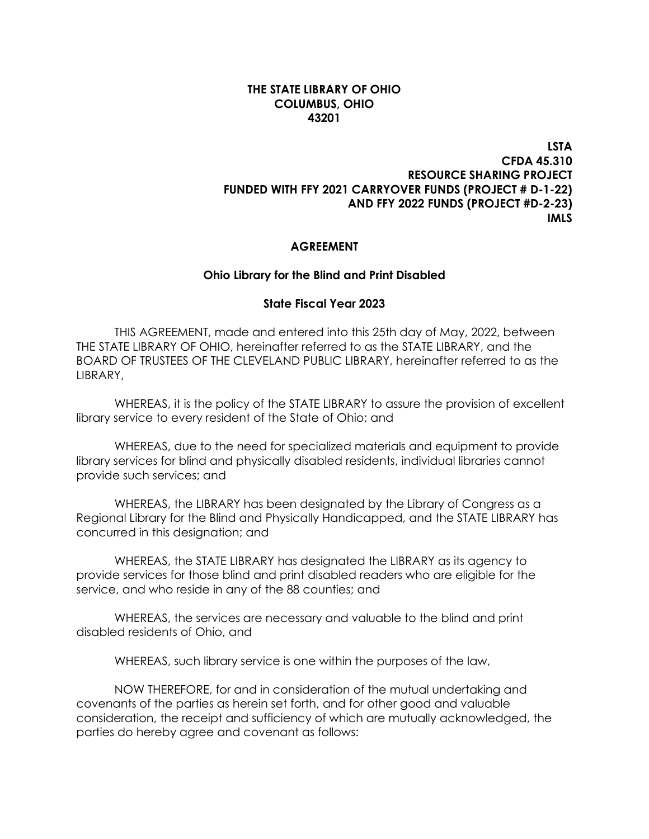### **THE STATE LIBRARY OF OHIO COLUMBUS, OHIO 43201**

## **LSTA CFDA 45.310 RESOURCE SHARING PROJECT FUNDED WITH FFY 2021 CARRYOVER FUNDS (PROJECT # D-1-22) AND FFY 2022 FUNDS (PROJECT #D-2-23) IMLS**

### **AGREEMENT**

#### **Ohio Library for the Blind and Print Disabled**

#### **State Fiscal Year 2023**

THIS AGREEMENT, made and entered into this 25th day of May, 2022, between THE STATE LIBRARY OF OHIO, hereinafter referred to as the STATE LIBRARY, and the BOARD OF TRUSTEES OF THE CLEVELAND PUBLIC LIBRARY, hereinafter referred to as the LIBRARY,

WHEREAS, it is the policy of the STATE LIBRARY to assure the provision of excellent library service to every resident of the State of Ohio; and

WHEREAS, due to the need for specialized materials and equipment to provide library services for blind and physically disabled residents, individual libraries cannot provide such services; and

WHEREAS, the LIBRARY has been designated by the Library of Congress as a Regional Library for the Blind and Physically Handicapped, and the STATE LIBRARY has concurred in this designation; and

WHEREAS, the STATE LIBRARY has designated the LIBRARY as its agency to provide services for those blind and print disabled readers who are eligible for the service, and who reside in any of the 88 counties; and

WHEREAS, the services are necessary and valuable to the blind and print disabled residents of Ohio, and

WHEREAS, such library service is one within the purposes of the law,

NOW THEREFORE, for and in consideration of the mutual undertaking and covenants of the parties as herein set forth, and for other good and valuable consideration, the receipt and sufficiency of which are mutually acknowledged, the parties do hereby agree and covenant as follows: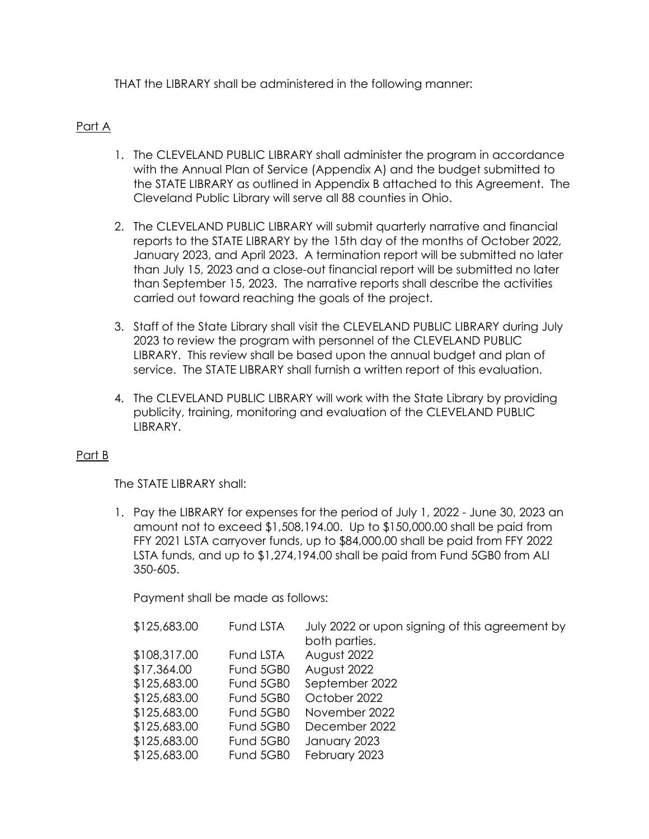THAT the LIBRARY shall be administered in the following manner:

## Part A

- 1. The CLEVELAND PUBLIC LIBRARY shall administer the program in accordance with the Annual Plan of Service (Appendix A) and the budget submitted to the STATE LIBRARY as outlined in Appendix B attached to this Agreement. The Cleveland Public Library will serve all 88 counties in Ohio.
- 2. The CLEVELAND PUBLIC LIBRARY will submit quarterly narrative and financial reports to the STATE LIBRARY by the 15th day of the months of October 2022, January 2023, and April 2023. A termination report will be submitted no later than July 15, 2023 and a close-out financial report will be submitted no later than September 15, 2023. The narrative reports shall describe the activities carried out toward reaching the goals of the project.
- 3. Staff of the State Library shall visit the CLEVELAND PUBLIC LIBRARY during July 2023 to review the program with personnel of the CLEVELAND PUBLIC LIBRARY. This review shall be based upon the annual budget and plan of service. The STATE LIBRARY shall furnish a written report of this evaluation.
- 4. The CLEVELAND PUBLIC LIBRARY will work with the State Library by providing publicity, training, monitoring and evaluation of the CLEVELAND PUBLIC LIBRARY.

## Part B

The STATE LIBRARY shall:

1. Pay the LIBRARY for expenses for the period of July 1, 2022 - June 30, 2023 an amount not to exceed \$1,508,194.00. Up to \$150,000.00 shall be paid from FFY 2021 LSTA carryover funds, up to \$84,000.00 shall be paid from FFY 2022 LSTA funds, and up to \$1,274,194.00 shall be paid from Fund 5GB0 from ALI 350-605.

Payment shall be made as follows:

| \$125,683.00 | <b>Fund LSTA</b> | July 2022 or upon signing of this agreement by |
|--------------|------------------|------------------------------------------------|
|              |                  | both parties.                                  |
| \$108,317.00 | Fund LSTA        | August 2022                                    |
| \$17,364.00  | Fund 5GB0        | August 2022                                    |
| \$125,683.00 | Fund 5GB0        | September 2022                                 |
| \$125,683.00 | Fund 5GB0        | October 2022                                   |
| \$125,683.00 | Fund 5GB0        | November 2022                                  |
| \$125,683.00 | Fund 5GB0        | December 2022                                  |
| \$125,683.00 | Fund 5GB0        | January 2023                                   |
| \$125,683.00 | Fund 5GB0        | February 2023                                  |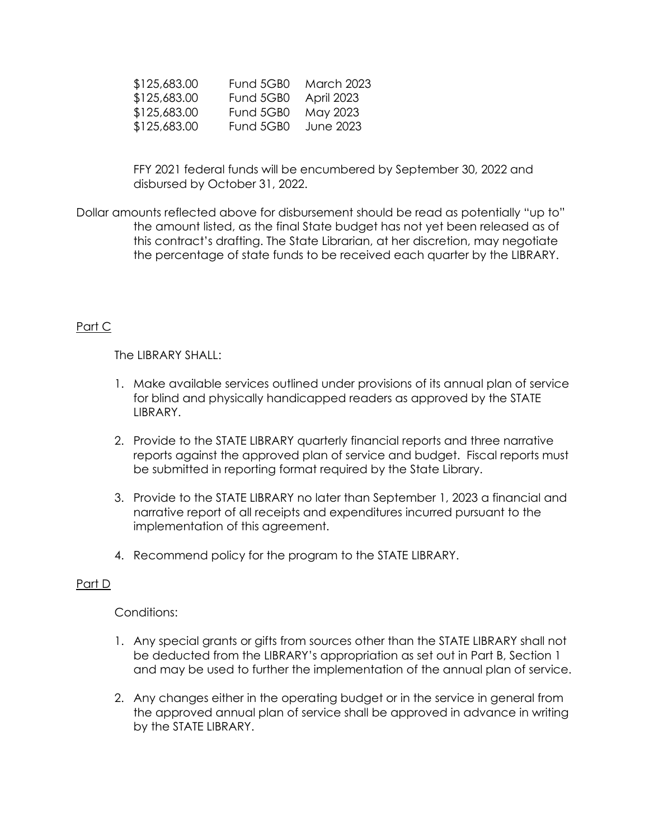| Fund 5GB0            | <b>March 2023</b> |
|----------------------|-------------------|
| Fund 5GB0 April 2023 |                   |
| Fund 5GB0            | May 2023          |
| Fund 5GB0            | June 2023         |
|                      |                   |

FFY 2021 federal funds will be encumbered by September 30, 2022 and disbursed by October 31, 2022.

Dollar amounts reflected above for disbursement should be read as potentially "up to" the amount listed, as the final State budget has not yet been released as of this contract's drafting. The State Librarian, at her discretion, may negotiate the percentage of state funds to be received each quarter by the LIBRARY.

## Part C

The LIBRARY SHALL:

- 1. Make available services outlined under provisions of its annual plan of service for blind and physically handicapped readers as approved by the STATE LIBRARY.
- 2. Provide to the STATE LIBRARY quarterly financial reports and three narrative reports against the approved plan of service and budget. Fiscal reports must be submitted in reporting format required by the State Library.
- 3. Provide to the STATE LIBRARY no later than September 1, 2023 a financial and narrative report of all receipts and expenditures incurred pursuant to the implementation of this agreement.
- 4. Recommend policy for the program to the STATE LIBRARY.

### Part D

Conditions:

- 1. Any special grants or gifts from sources other than the STATE LIBRARY shall not be deducted from the LIBRARY's appropriation as set out in Part B, Section 1 and may be used to further the implementation of the annual plan of service.
- 2. Any changes either in the operating budget or in the service in general from the approved annual plan of service shall be approved in advance in writing by the STATE LIBRARY.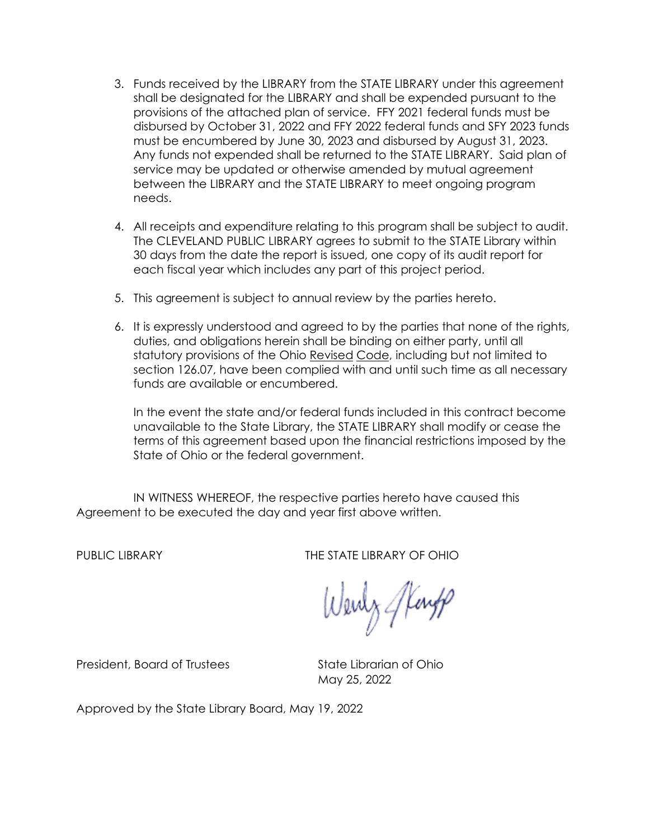- 3. Funds received by the LIBRARY from the STATE LIBRARY under this agreement shall be designated for the LIBRARY and shall be expended pursuant to the provisions of the attached plan of service. FFY 2021 federal funds must be disbursed by October 31, 2022 and FFY 2022 federal funds and SFY 2023 funds must be encumbered by June 30, 2023 and disbursed by August 31, 2023. Any funds not expended shall be returned to the STATE LIBRARY. Said plan of service may be updated or otherwise amended by mutual agreement between the LIBRARY and the STATE LIBRARY to meet ongoing program needs.
- 4. All receipts and expenditure relating to this program shall be subject to audit. The CLEVELAND PUBLIC LIBRARY agrees to submit to the STATE Library within 30 days from the date the report is issued, one copy of its audit report for each fiscal year which includes any part of this project period.
- 5. This agreement is subject to annual review by the parties hereto.
- 6. It is expressly understood and agreed to by the parties that none of the rights, duties, and obligations herein shall be binding on either party, until all statutory provisions of the Ohio Revised Code, including but not limited to section 126.07, have been complied with and until such time as all necessary funds are available or encumbered.

In the event the state and/or federal funds included in this contract become unavailable to the State Library, the STATE LIBRARY shall modify or cease the terms of this agreement based upon the financial restrictions imposed by the State of Ohio or the federal government.

IN WITNESS WHEREOF, the respective parties hereto have caused this Agreement to be executed the day and year first above written.

PUBLIC LIBRARY **THE STATE LIBRARY OF OHIO** 

Wenty Stang

President, Board of Trustees State Librarian of Ohio

May 25, 2022

Approved by the State Library Board, May 19, 2022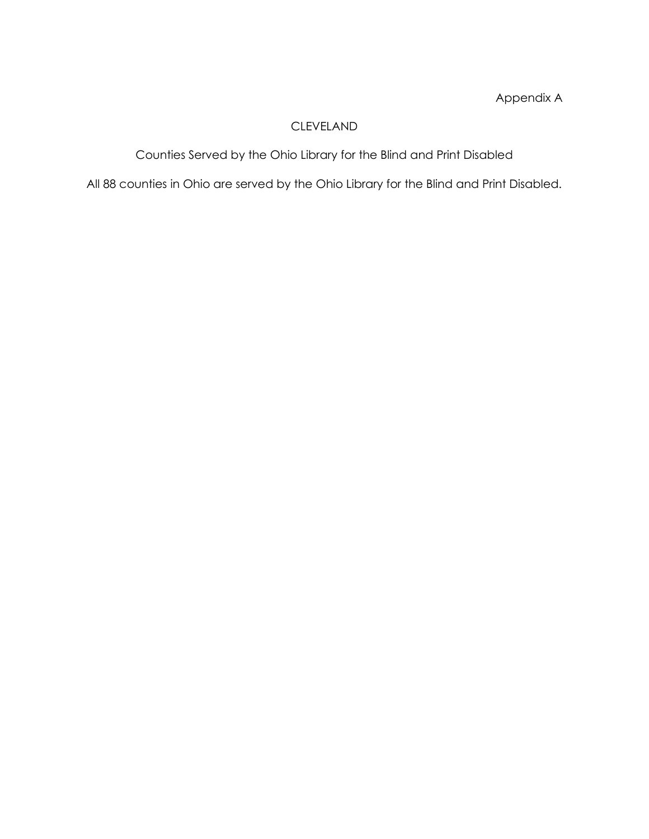Appendix A

# CLEVELAND

Counties Served by the Ohio Library for the Blind and Print Disabled

All 88 counties in Ohio are served by the Ohio Library for the Blind and Print Disabled.